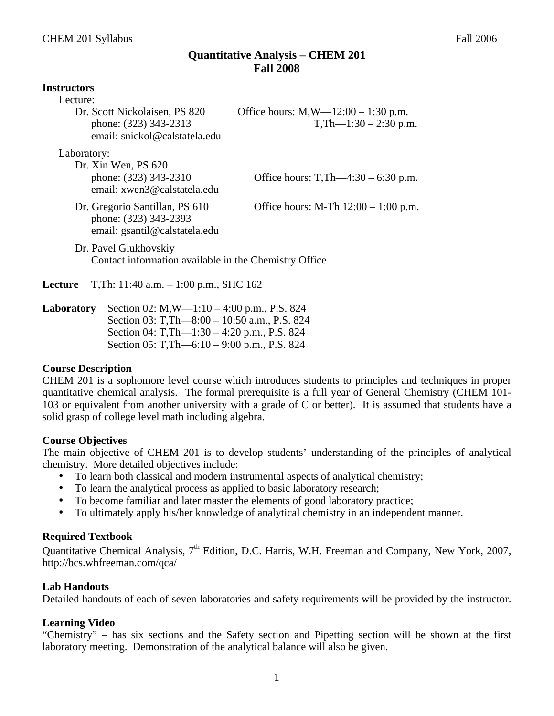| <b>Instructors</b>                                               |                                                                                          |                                                               |  |  |  |
|------------------------------------------------------------------|------------------------------------------------------------------------------------------|---------------------------------------------------------------|--|--|--|
| Lecture:                                                         |                                                                                          |                                                               |  |  |  |
|                                                                  | Dr. Scott Nickolaisen, PS 820<br>phone: (323) 343-2313<br>email: snickol@calstatela.edu  | Office hours: $M,W=12:00-1:30$ p.m.<br>$T, Th—1:30-2:30 p.m.$ |  |  |  |
| Laboratory:                                                      |                                                                                          |                                                               |  |  |  |
|                                                                  | Dr. Xin Wen, PS 620<br>phone: (323) 343-2310<br>email: xwen3@calstatela.edu              | Office hours: T,Th—4:30 – 6:30 p.m.                           |  |  |  |
|                                                                  | Dr. Gregorio Santillan, PS 610<br>phone: (323) 343-2393<br>email: gsantil@calstatela.edu | Office hours: M-Th $12:00 - 1:00$ p.m.                        |  |  |  |
|                                                                  | Dr. Pavel Glukhovskiy<br>Contact information available in the Chemistry Office           |                                                               |  |  |  |
| T, Th: 11:40 a.m. $-1:00$ p.m., SHC 162<br>Lecture               |                                                                                          |                                                               |  |  |  |
| Loberatory $\delta$ Soction 02: MW 1:10 $\delta$ :00 n m D S 824 |                                                                                          |                                                               |  |  |  |

**Laboratory** Section 02: M,W—1:10 – 4:00 p.m., P.S. 824 Section 03: T,Th—8:00 – 10:50 a.m., P.S. 824 Section 04: T,Th—1:30 – 4:20 p.m., P.S. 824 Section 05: T,Th—6:10 – 9:00 p.m., P.S. 824

#### **Course Description**

CHEM 201 is a sophomore level course which introduces students to principles and techniques in proper quantitative chemical analysis. The formal prerequisite is a full year of General Chemistry (CHEM 101- 103 or equivalent from another university with a grade of C or better). It is assumed that students have a solid grasp of college level math including algebra.

#### **Course Objectives**

The main objective of CHEM 201 is to develop students' understanding of the principles of analytical chemistry. More detailed objectives include:

- To learn both classical and modern instrumental aspects of analytical chemistry;
- To learn the analytical process as applied to basic laboratory research;
- To become familiar and later master the elements of good laboratory practice;
- To ultimately apply his/her knowledge of analytical chemistry in an independent manner.

#### **Required Textbook**

Quantitative Chemical Analysis, 7<sup>th</sup> Edition, D.C. Harris, W.H. Freeman and Company, New York, 2007, http://bcs.whfreeman.com/qca/

#### **Lab Handouts**

Detailed handouts of each of seven laboratories and safety requirements will be provided by the instructor.

#### **Learning Video**

"Chemistry" – has six sections and the Safety section and Pipetting section will be shown at the first laboratory meeting. Demonstration of the analytical balance will also be given.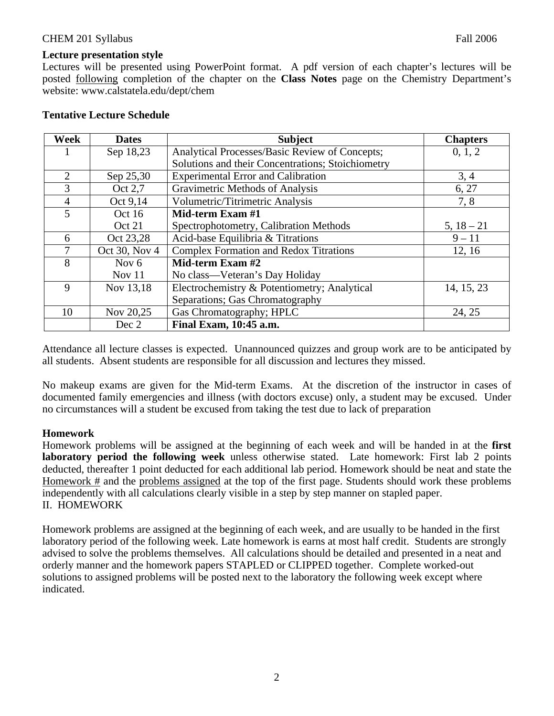#### **Lecture presentation style**

Lectures will be presented using PowerPoint format. A pdf version of each chapter's lectures will be posted following completion of the chapter on the **Class Notes** page on the Chemistry Department's website: www.calstatela.edu/dept/chem

#### **Tentative Lecture Schedule**

| <b>Week</b>    | <b>Dates</b>  | <b>Subject</b>                                    | <b>Chapters</b> |
|----------------|---------------|---------------------------------------------------|-----------------|
|                | Sep 18,23     | Analytical Processes/Basic Review of Concepts;    | 0, 1, 2         |
|                |               | Solutions and their Concentrations; Stoichiometry |                 |
| 2              | Sep 25,30     | <b>Experimental Error and Calibration</b>         | 3, 4            |
| 3              | Oct 2,7       | Gravimetric Methods of Analysis                   | 6, 27           |
| $\overline{4}$ | Oct 9,14      | Volumetric/Titrimetric Analysis                   | 7,8             |
| 5              | Oct 16        | Mid-term Exam #1                                  |                 |
|                | Oct 21        | Spectrophotometry, Calibration Methods            | $5, 18 - 21$    |
| 6              | Oct 23,28     | Acid-base Equilibria & Titrations                 | $9 - 11$        |
| 7              | Oct 30, Nov 4 | <b>Complex Formation and Redox Titrations</b>     | 12, 16          |
| 8              | Nov $6$       | Mid-term Exam #2                                  |                 |
|                | Nov $11$      | No class—Veteran's Day Holiday                    |                 |
| 9              | Nov 13,18     | Electrochemistry & Potentiometry; Analytical      | 14, 15, 23      |
|                |               | Separations; Gas Chromatography                   |                 |
| 10             | Nov 20,25     | Gas Chromatography; HPLC                          | 24, 25          |
|                | Dec 2         | Final Exam, 10:45 a.m.                            |                 |

Attendance all lecture classes is expected. Unannounced quizzes and group work are to be anticipated by all students. Absent students are responsible for all discussion and lectures they missed.

No makeup exams are given for the Mid-term Exams. At the discretion of the instructor in cases of documented family emergencies and illness (with doctors excuse) only, a student may be excused. Under no circumstances will a student be excused from taking the test due to lack of preparation

# **Homework**

Homework problems will be assigned at the beginning of each week and will be handed in at the **first laboratory period the following week** unless otherwise stated. Late homework: First lab 2 points deducted, thereafter 1 point deducted for each additional lab period. Homework should be neat and state the Homework # and the problems assigned at the top of the first page. Students should work these problems independently with all calculations clearly visible in a step by step manner on stapled paper. II. HOMEWORK

Homework problems are assigned at the beginning of each week, and are usually to be handed in the first laboratory period of the following week. Late homework is earns at most half credit. Students are strongly advised to solve the problems themselves. All calculations should be detailed and presented in a neat and orderly manner and the homework papers STAPLED or CLIPPED together. Complete worked-out solutions to assigned problems will be posted next to the laboratory the following week except where indicated.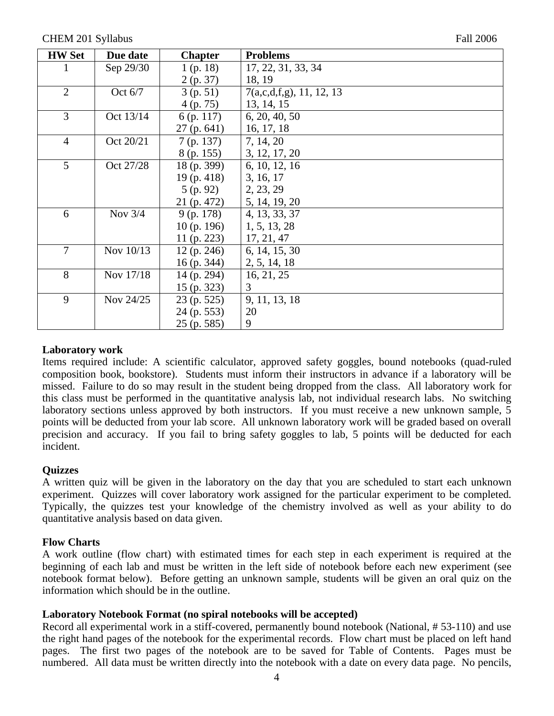| <b>HW Set</b>  | Due date  | <b>Chapter</b> | <b>Problems</b>             |
|----------------|-----------|----------------|-----------------------------|
|                | Sep 29/30 | 1(p. 18)       | 17, 22, 31, 33, 34          |
|                |           | 2(p. 37)       | 18, 19                      |
| $\overline{2}$ | Oct $6/7$ | 3(p.51)        | $7(a,c,d,f,g)$ , 11, 12, 13 |
|                |           | 4(p.75)        | 13, 14, 15                  |
| 3              | Oct 13/14 | $6$ (p. 117)   | 6, 20, 40, 50               |
|                |           | 27(p.641)      | 16, 17, 18                  |
| $\overline{4}$ | Oct 20/21 | 7(p. 137)      | 7, 14, 20                   |
|                |           | 8 (p. 155)     | 3, 12, 17, 20               |
| 5              | Oct 27/28 | 18(p. 399)     | 6, 10, 12, 16               |
|                |           | 19(p. 418)     | 3, 16, 17                   |
|                |           | 5(p.92)        | 2, 23, 29                   |
|                |           | 21 (p. 472)    | 5, 14, 19, 20               |
| 6              | Nov $3/4$ | $9$ (p. 178)   | 4, 13, 33, 37               |
|                |           | 10(p. 196)     | 1, 5, 13, 28                |
|                |           | 11 $(p. 223)$  | 17, 21, 47                  |
| $\overline{7}$ | Nov 10/13 | 12(p. 246)     | 6, 14, 15, 30               |
|                |           | $16$ (p. 344)  | 2, 5, 14, 18                |
| 8              | Nov 17/18 | $14$ (p. 294)  | 16, 21, 25                  |
|                |           | $15$ (p. 323)  | 3                           |
| 9              | Nov 24/25 | 23 (p. 525)    | 9, 11, 13, 18               |
|                |           | 24 (p. 553)    | 20                          |
|                |           | 25 (p. 585)    | 9                           |

#### **Laboratory work**

Items required include: A scientific calculator, approved safety goggles, bound notebooks (quad-ruled composition book, bookstore). Students must inform their instructors in advance if a laboratory will be missed. Failure to do so may result in the student being dropped from the class. All laboratory work for this class must be performed in the quantitative analysis lab, not individual research labs. No switching laboratory sections unless approved by both instructors. If you must receive a new unknown sample, 5 points will be deducted from your lab score. All unknown laboratory work will be graded based on overall precision and accuracy. If you fail to bring safety goggles to lab, 5 points will be deducted for each incident.

# **Quizzes**

A written quiz will be given in the laboratory on the day that you are scheduled to start each unknown experiment. Quizzes will cover laboratory work assigned for the particular experiment to be completed. Typically, the quizzes test your knowledge of the chemistry involved as well as your ability to do quantitative analysis based on data given.

#### **Flow Charts**

A work outline (flow chart) with estimated times for each step in each experiment is required at the beginning of each lab and must be written in the left side of notebook before each new experiment (see notebook format below). Before getting an unknown sample, students will be given an oral quiz on the information which should be in the outline.

#### **Laboratory Notebook Format (no spiral notebooks will be accepted)**

Record all experimental work in a stiff-covered, permanently bound notebook (National, # 53-110) and use the right hand pages of the notebook for the experimental records. Flow chart must be placed on left hand pages. The first two pages of the notebook are to be saved for Table of Contents. Pages must be numbered. All data must be written directly into the notebook with a date on every data page. No pencils,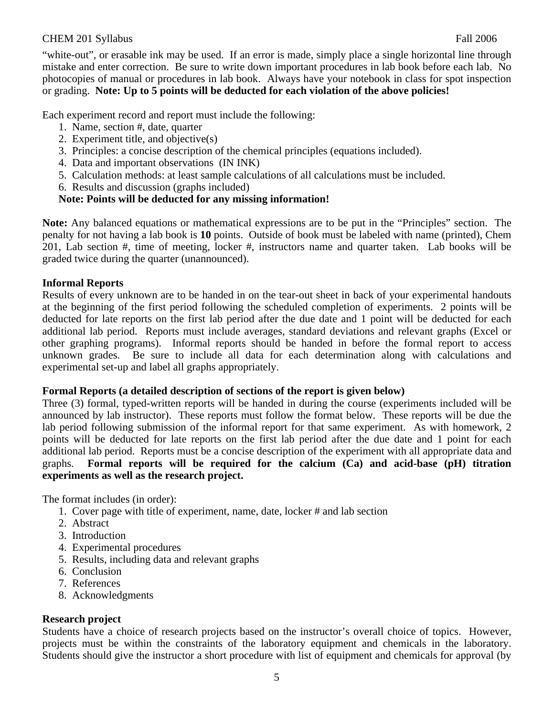"white-out", or erasable ink may be used. If an error is made, simply place a single horizontal line through mistake and enter correction. Be sure to write down important procedures in lab book before each lab. No photocopies of manual or procedures in lab book. Always have your notebook in class for spot inspection or grading. **Note: Up to 5 points will be deducted for each violation of the above policies!**

Each experiment record and report must include the following:

- 1. Name, section #, date, quarter
- 2. Experiment title, and objective(s)
- 3. Principles: a concise description of the chemical principles (equations included).
- 4. Data and important observations (IN INK)
- 5. Calculation methods: at least sample calculations of all calculations must be included.
- 6. Results and discussion (graphs included)

# **Note: Points will be deducted for any missing information!**

**Note:** Any balanced equations or mathematical expressions are to be put in the "Principles" section. The penalty for not having a lab book is **10** points. Outside of book must be labeled with name (printed), Chem 201, Lab section #, time of meeting, locker #, instructors name and quarter taken. Lab books will be graded twice during the quarter (unannounced).

#### **Informal Reports**

Results of every unknown are to be handed in on the tear-out sheet in back of your experimental handouts at the beginning of the first period following the scheduled completion of experiments. 2 points will be deducted for late reports on the first lab period after the due date and 1 point will be deducted for each additional lab period. Reports must include averages, standard deviations and relevant graphs (Excel or other graphing programs). Informal reports should be handed in before the formal report to access unknown grades. Be sure to include all data for each determination along with calculations and experimental set-up and label all graphs appropriately.

#### **Formal Reports (a detailed description of sections of the report is given below)**

Three (3) formal, typed-written reports will be handed in during the course (experiments included will be announced by lab instructor). These reports must follow the format below. These reports will be due the lab period following submission of the informal report for that same experiment. As with homework, 2 points will be deducted for late reports on the first lab period after the due date and 1 point for each additional lab period. Reports must be a concise description of the experiment with all appropriate data and graphs. **Formal reports will be required for the calcium (Ca) and acid-base (pH) titration experiments as well as the research project.**

The format includes (in order):

- 1. Cover page with title of experiment, name, date, locker # and lab section
- 2. Abstract
- 3. Introduction
- 4. Experimental procedures
- 5. Results, including data and relevant graphs
- 6. Conclusion
- 7. References
- 8. Acknowledgments

# **Research project**

Students have a choice of research projects based on the instructor's overall choice of topics. However, projects must be within the constraints of the laboratory equipment and chemicals in the laboratory. Students should give the instructor a short procedure with list of equipment and chemicals for approval (by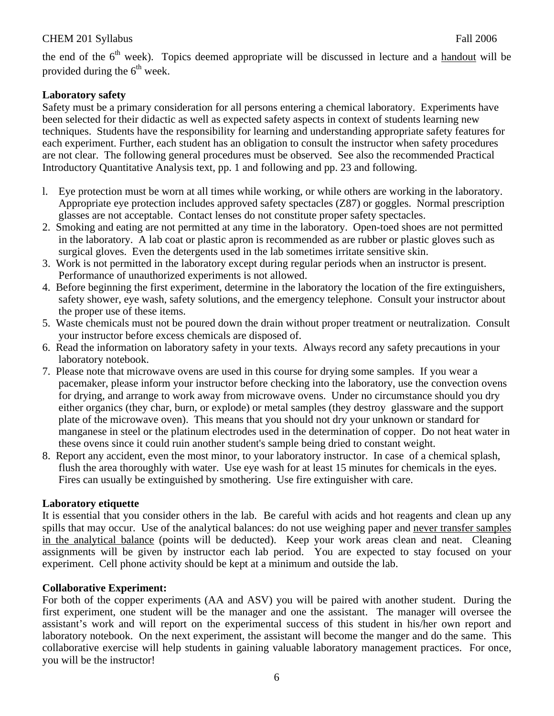the end of the  $6<sup>th</sup>$  week). Topics deemed appropriate will be discussed in lecture and a handout will be provided during the  $6<sup>th</sup>$  week.

# **Laboratory safety**

Safety must be a primary consideration for all persons entering a chemical laboratory. Experiments have been selected for their didactic as well as expected safety aspects in context of students learning new techniques. Students have the responsibility for learning and understanding appropriate safety features for each experiment. Further, each student has an obligation to consult the instructor when safety procedures are not clear. The following general procedures must be observed. See also the recommended Practical Introductory Quantitative Analysis text, pp. 1 and following and pp. 23 and following.

- l. Eye protection must be worn at all times while working, or while others are working in the laboratory. Appropriate eye protection includes approved safety spectacles (Z87) or goggles. Normal prescription glasses are not acceptable. Contact lenses do not constitute proper safety spectacles.
- 2. Smoking and eating are not permitted at any time in the laboratory. Open-toed shoes are not permitted in the laboratory. A lab coat or plastic apron is recommended as are rubber or plastic gloves such as surgical gloves. Even the detergents used in the lab sometimes irritate sensitive skin.
- 3. Work is not permitted in the laboratory except during regular periods when an instructor is present. Performance of unauthorized experiments is not allowed.
- 4. Before beginning the first experiment, determine in the laboratory the location of the fire extinguishers, safety shower, eye wash, safety solutions, and the emergency telephone. Consult your instructor about the proper use of these items.
- 5. Waste chemicals must not be poured down the drain without proper treatment or neutralization. Consult your instructor before excess chemicals are disposed of.
- 6. Read the information on laboratory safety in your texts. Always record any safety precautions in your laboratory notebook.
- 7. Please note that microwave ovens are used in this course for drying some samples. If you wear a pacemaker, please inform your instructor before checking into the laboratory, use the convection ovens for drying, and arrange to work away from microwave ovens. Under no circumstance should you dry either organics (they char, burn, or explode) or metal samples (they destroy glassware and the support plate of the microwave oven). This means that you should not dry your unknown or standard for manganese in steel or the platinum electrodes used in the determination of copper. Do not heat water in these ovens since it could ruin another student's sample being dried to constant weight.
- 8. Report any accident, even the most minor, to your laboratory instructor. In case of a chemical splash, flush the area thoroughly with water. Use eye wash for at least 15 minutes for chemicals in the eyes. Fires can usually be extinguished by smothering. Use fire extinguisher with care.

# **Laboratory etiquette**

It is essential that you consider others in the lab. Be careful with acids and hot reagents and clean up any spills that may occur. Use of the analytical balances: do not use weighing paper and never transfer samples in the analytical balance (points will be deducted). Keep your work areas clean and neat. Cleaning assignments will be given by instructor each lab period. You are expected to stay focused on your experiment. Cell phone activity should be kept at a minimum and outside the lab.

# **Collaborative Experiment:**

For both of the copper experiments (AA and ASV) you will be paired with another student. During the first experiment, one student will be the manager and one the assistant. The manager will oversee the assistant's work and will report on the experimental success of this student in his/her own report and laboratory notebook. On the next experiment, the assistant will become the manger and do the same. This collaborative exercise will help students in gaining valuable laboratory management practices. For once, you will be the instructor!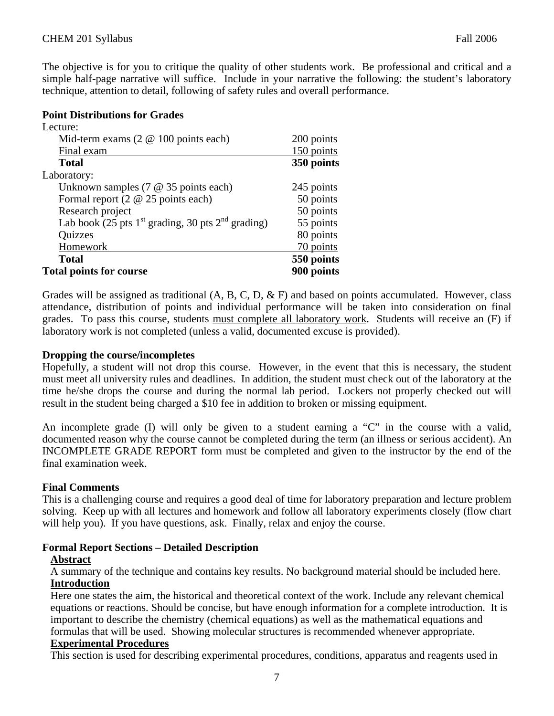The objective is for you to critique the quality of other students work. Be professional and critical and a simple half-page narrative will suffice. Include in your narrative the following: the student's laboratory technique, attention to detail, following of safety rules and overall performance.

#### **Point Distributions for Grades**

| Lecture:                                              |            |
|-------------------------------------------------------|------------|
| Mid-term exams $(2 \& 100 \text{ points each})$       | 200 points |
| Final exam                                            | 150 points |
| Total                                                 | 350 points |
| Laboratory:                                           |            |
| Unknown samples $(7 \t@ 35 \tpoints each)$            | 245 points |
| Formal report $(2 \otimes 25$ points each)            | 50 points  |
| Research project                                      | 50 points  |
| Lab book (25 pts $1st$ grading, 30 pts $2nd$ grading) | 55 points  |
| <b>Quizzes</b>                                        | 80 points  |
| Homework                                              | 70 points  |
| <b>Total</b>                                          | 550 points |
| <b>Total points for course</b>                        | 900 points |

Grades will be assigned as traditional  $(A, B, C, D, \& F)$  and based on points accumulated. However, class attendance, distribution of points and individual performance will be taken into consideration on final grades. To pass this course, students must complete all laboratory work. Students will receive an (F) if laboratory work is not completed (unless a valid, documented excuse is provided).

# **Dropping the course/incompletes**

Hopefully, a student will not drop this course. However, in the event that this is necessary, the student must meet all university rules and deadlines. In addition, the student must check out of the laboratory at the time he/she drops the course and during the normal lab period. Lockers not properly checked out will result in the student being charged a \$10 fee in addition to broken or missing equipment.

An incomplete grade (I) will only be given to a student earning a "C" in the course with a valid, documented reason why the course cannot be completed during the term (an illness or serious accident). An INCOMPLETE GRADE REPORT form must be completed and given to the instructor by the end of the final examination week.

# **Final Comments**

This is a challenging course and requires a good deal of time for laboratory preparation and lecture problem solving. Keep up with all lectures and homework and follow all laboratory experiments closely (flow chart will help you). If you have questions, ask. Finally, relax and enjoy the course.

# **Formal Report Sections – Detailed Description**

#### **Abstract**

A summary of the technique and contains key results. No background material should be included here. **Introduction**

Here one states the aim, the historical and theoretical context of the work. Include any relevant chemical equations or reactions. Should be concise, but have enough information for a complete introduction. It is important to describe the chemistry (chemical equations) as well as the mathematical equations and formulas that will be used. Showing molecular structures is recommended whenever appropriate.

#### **Experimental Procedures**

This section is used for describing experimental procedures, conditions, apparatus and reagents used in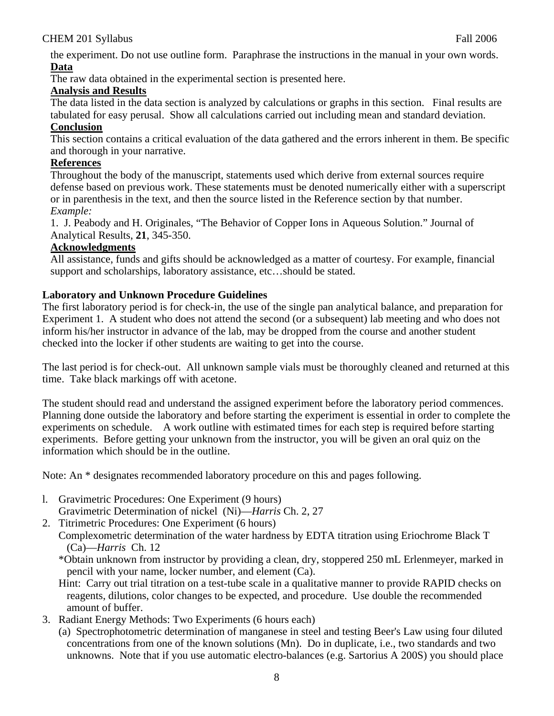the experiment. Do not use outline form. Paraphrase the instructions in the manual in your own words. **Data**

The raw data obtained in the experimental section is presented here.

# **Analysis and Results**

The data listed in the data section is analyzed by calculations or graphs in this section. Final results are tabulated for easy perusal. Show all calculations carried out including mean and standard deviation.

# **Conclusion**

This section contains a critical evaluation of the data gathered and the errors inherent in them. Be specific and thorough in your narrative.

# **References**

Throughout the body of the manuscript, statements used which derive from external sources require defense based on previous work. These statements must be denoted numerically either with a superscript or in parenthesis in the text, and then the source listed in the Reference section by that number. *Example:* 

1. J. Peabody and H. Originales, "The Behavior of Copper Ions in Aqueous Solution." Journal of Analytical Results, **21**, 345-350.

# **Acknowledgments**

All assistance, funds and gifts should be acknowledged as a matter of courtesy. For example, financial support and scholarships, laboratory assistance, etc…should be stated.

# **Laboratory and Unknown Procedure Guidelines**

The first laboratory period is for check-in, the use of the single pan analytical balance, and preparation for Experiment 1. A student who does not attend the second (or a subsequent) lab meeting and who does not inform his/her instructor in advance of the lab, may be dropped from the course and another student checked into the locker if other students are waiting to get into the course.

The last period is for check-out. All unknown sample vials must be thoroughly cleaned and returned at this time. Take black markings off with acetone.

The student should read and understand the assigned experiment before the laboratory period commences. Planning done outside the laboratory and before starting the experiment is essential in order to complete the experiments on schedule. A work outline with estimated times for each step is required before starting experiments. Before getting your unknown from the instructor, you will be given an oral quiz on the information which should be in the outline.

Note: An \* designates recommended laboratory procedure on this and pages following.

- l. Gravimetric Procedures: One Experiment (9 hours) Gravimetric Determination of nickel (Ni)—*Harris* Ch. 2, 27
- 2. Titrimetric Procedures: One Experiment (6 hours)

 Complexometric determination of the water hardness by EDTA titration using Eriochrome Black T (Ca)—*Harris* Ch. 12

 \*Obtain unknown from instructor by providing a clean, dry, stoppered 250 mL Erlenmeyer, marked in pencil with your name, locker number, and element (Ca).

- Hint: Carry out trial titration on a test-tube scale in a qualitative manner to provide RAPID checks on reagents, dilutions, color changes to be expected, and procedure. Use double the recommended amount of buffer.
- 3. Radiant Energy Methods: Two Experiments (6 hours each)
	- (a) Spectrophotometric determination of manganese in steel and testing Beer's Law using four diluted concentrations from one of the known solutions (Mn). Do in duplicate, i.e., two standards and two unknowns. Note that if you use automatic electro-balances (e.g. Sartorius A 200S) you should place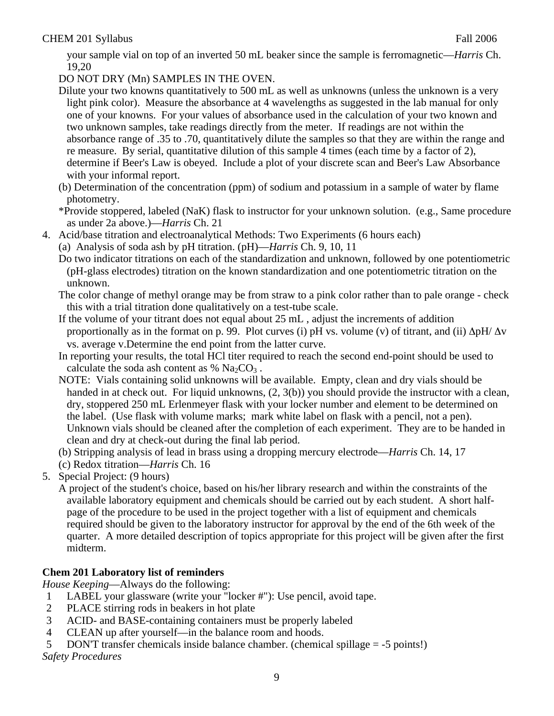your sample vial on top of an inverted 50 mL beaker since the sample is ferromagnetic—*Harris* Ch. 19,20

DO NOT DRY (Mn) SAMPLES IN THE OVEN.

- Dilute your two knowns quantitatively to 500 mL as well as unknowns (unless the unknown is a very light pink color). Measure the absorbance at 4 wavelengths as suggested in the lab manual for only one of your knowns. For your values of absorbance used in the calculation of your two known and two unknown samples, take readings directly from the meter. If readings are not within the absorbance range of .35 to .70, quantitatively dilute the samples so that they are within the range and re measure. By serial, quantitative dilution of this sample 4 times (each time by a factor of 2), determine if Beer's Law is obeyed. Include a plot of your discrete scan and Beer's Law Absorbance with your informal report.
- (b) Determination of the concentration (ppm) of sodium and potassium in a sample of water by flame photometry.

 \*Provide stoppered, labeled (NaK) flask to instructor for your unknown solution. (e.g., Same procedure as under 2a above.)—*Harris* Ch. 21

- 4. Acid/base titration and electroanalytical Methods: Two Experiments (6 hours each)
	- (a) Analysis of soda ash by pH titration. (pH)—*Harris* Ch. 9, 10, 11
	- Do two indicator titrations on each of the standardization and unknown, followed by one potentiometric (pH-glass electrodes) titration on the known standardization and one potentiometric titration on the unknown.
	- The color change of methyl orange may be from straw to a pink color rather than to pale orange check this with a trial titration done qualitatively on a test-tube scale.
	- If the volume of your titrant does not equal about 25 mL , adjust the increments of addition proportionally as in the format on p. 99. Plot curves (i) pH vs. volume (v) of titrant, and (ii)  $\Delta pH/\Delta v$ vs. average v.Determine the end point from the latter curve.
	- In reporting your results, the total HCl titer required to reach the second end-point should be used to calculate the soda ash content as %  $Na<sub>2</sub>CO<sub>3</sub>$ .
	- NOTE: Vials containing solid unknowns will be available. Empty, clean and dry vials should be handed in at check out. For liquid unknowns, (2, 3(b)) you should provide the instructor with a clean, dry, stoppered 250 mL Erlenmeyer flask with your locker number and element to be determined on the label. (Use flask with volume marks; mark white label on flask with a pencil, not a pen). Unknown vials should be cleaned after the completion of each experiment. They are to be handed in clean and dry at check-out during the final lab period.
	- (b) Stripping analysis of lead in brass using a dropping mercury electrode—*Harris* Ch. 14, 17
	- (c) Redox titration—*Harris* Ch. 16
- 5. Special Project: (9 hours)

 A project of the student's choice, based on his/her library research and within the constraints of the available laboratory equipment and chemicals should be carried out by each student. A short halfpage of the procedure to be used in the project together with a list of equipment and chemicals required should be given to the laboratory instructor for approval by the end of the 6th week of the quarter. A more detailed description of topics appropriate for this project will be given after the first midterm.

# **Chem 201 Laboratory list of reminders**

*House Keeping*—Always do the following:

- 1 LABEL your glassware (write your "locker #"): Use pencil, avoid tape.
- 2 PLACE stirring rods in beakers in hot plate
- 3 ACID- and BASE-containing containers must be properly labeled
- 4 CLEAN up after yourself—in the balance room and hoods.

5 DON'T transfer chemicals inside balance chamber. (chemical spillage = -5 points!) *Safety Procedures*